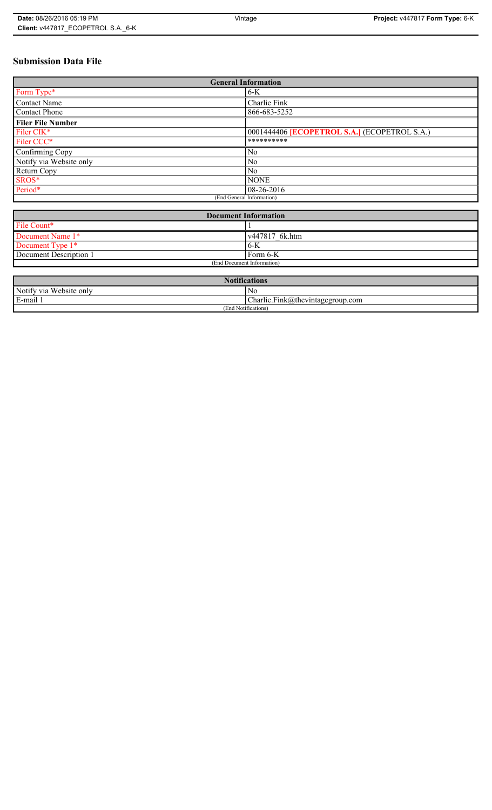# **Submission Data File**

| <b>General Information</b> |                                                   |
|----------------------------|---------------------------------------------------|
| Form Type*                 | $6-K$                                             |
| <b>Contact Name</b>        | Charlie Fink                                      |
| <b>Contact Phone</b>       | 866-683-5252                                      |
| <b>Filer File Number</b>   |                                                   |
| Filer CIK*                 | 0001444406 <b>ECOPETROL S.A.</b> (ECOPETROL S.A.) |
| Filer CCC*                 | **********                                        |
| Confirming Copy            | N <sub>0</sub>                                    |
| Notify via Website only    | No                                                |
| Return Copy                | No                                                |
| SROS*                      | <b>NONE</b>                                       |
| Period*                    | $08-26-2016$                                      |
| (End General Information)  |                                                   |

| <b>Document Information</b> |                |
|-----------------------------|----------------|
| File Count*                 |                |
| Document Name 1*            | v447817 6k.htm |
| Document Type 1*            | 6-K            |
| Document Description 1      | Form 6-K       |
| (End Document Information)  |                |

| <b>Notifications</b>    |                                            |
|-------------------------|--------------------------------------------|
| Notify via Website only | N0                                         |
| E-mail                  | Charlie.Fink@thevintagegroup.com<br>$\sim$ |
| (End Notifications)     |                                            |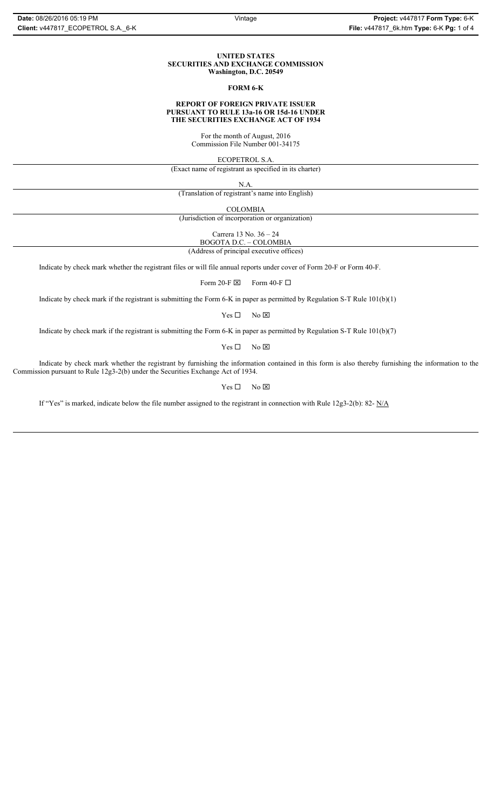#### **UNITED STATES SECURITIES AND EXCHANGE COMMISSION Washington, D.C. 20549**

## **FORM 6-K**

#### **REPORT OF FOREIGN PRIVATE ISSUER PURSUANT TO RULE 13a-16 OR 15d-16 UNDER THE SECURITIES EXCHANGE ACT OF 1934**

For the month of August, 2016 Commission File Number 001-34175

ECOPETROL S.A.

(Exact name of registrant as specified in its charter)

N.A.

(Translation of registrant's name into English)

COLOMBIA

(Jurisdiction of incorporation or organization)

Carrera 13 No. 36 – 24

BOGOTA D.C. – COLOMBIA (Address of principal executive offices)

Indicate by check mark whether the registrant files or will file annual reports under cover of Form 20-F or Form 40-F.

Form 20-F  $\boxtimes$  Form 40-F  $\Box$ 

Indicate by check mark if the registrant is submitting the Form 6-K in paper as permitted by Regulation S-T Rule 101(b)(1)

 $Yes \Box$  No  $\boxtimes$ 

Indicate by check mark if the registrant is submitting the Form 6-K in paper as permitted by Regulation S-T Rule 101(b)(7)

 $Yes \Box$  No  $\boxtimes$ 

Indicate by check mark whether the registrant by furnishing the information contained in this form is also thereby furnishing the information to the Commission pursuant to Rule 12g3-2(b) under the Securities Exchange Act of 1934.

 $Yes \Box$  No  $\boxtimes$ 

If "Yes" is marked, indicate below the file number assigned to the registrant in connection with Rule 12g3-2(b): 82- N/A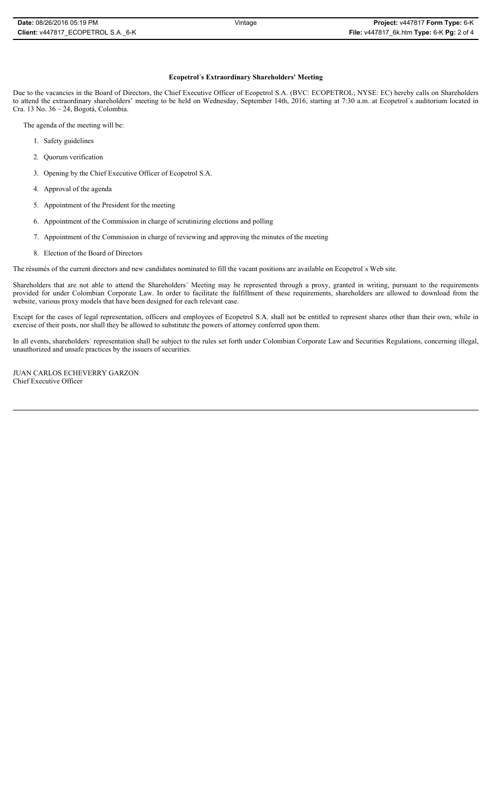## **Ecopetrol´s Extraordinary Shareholders' Meeting**

Due to the vacancies in the Board of Directors, the Chief Executive Officer of Ecopetrol S.A. (BVC: ECOPETROL; NYSE: EC) hereby calls on Shareholders to attend the extraordinary shareholders' meeting to be held on Wednesday, September 14th, 2016, starting at 7:30 a.m. at Ecopetrol´s auditorium located in Cra. 13 No. 36 – 24, Bogotá, Colombia.

The agenda of the meeting will be:

- 1. Safety guidelines
- 2. Quorum verification
- 3. Opening by the Chief Executive Officer of Ecopetrol S.A.
- 4. Approval of the agenda
- 5. Appointment of the President for the meeting
- 6. Appointment of the Commission in charge of scrutinizing elections and polling
- 7. Appointment of the Commission in charge of reviewing and approving the minutes of the meeting
- 8. Election of the Board of Directors

The résumés of the current directors and new candidates nominated to fill the vacant positions are available on Ecopetrol´s Web site.

Shareholders that are not able to attend the Shareholders´ Meeting may be represented through a proxy, granted in writing, pursuant to the requirements provided for under Colombian Corporate Law. In order to facilitate the fulfillment of these requirements, shareholders are allowed to download from the website, various proxy models that have been designed for each relevant case.

Except for the cases of legal representation, officers and employees of Ecopetrol S.A. shall not be entitled to represent shares other than their own, while in exercise of their posts, nor shall they be allowed to substitute the powers of attorney conferred upon them.

In all events, shareholders´ representation shall be subject to the rules set forth under Colombian Corporate Law and Securities Regulations, concerning illegal, unauthorized and unsafe practices by the issuers of securities.

JUAN CARLOS ECHEVERRY GARZON Chief Executive Officer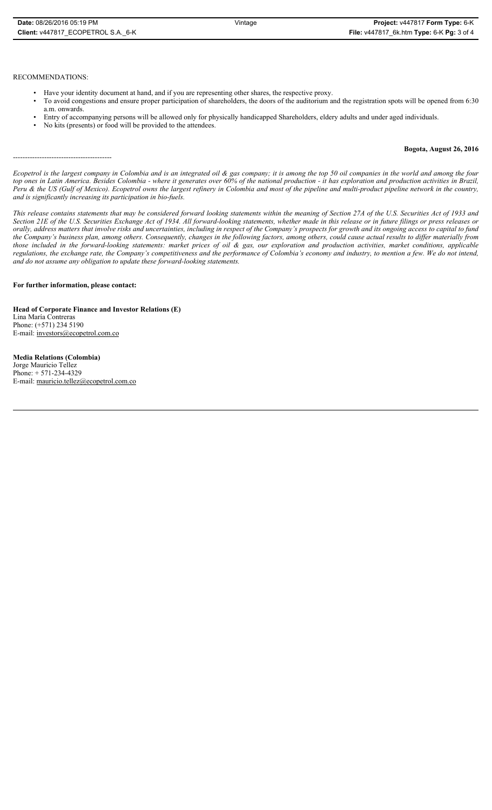## RECOMMENDATIONS:

-----------------------------------------

- Have your identity document at hand, and if you are representing other shares, the respective proxy.
- To avoid congestions and ensure proper participation of shareholders, the doors of the auditorium and the registration spots will be opened from 6:30 a.m. onwards.
- Entry of accompanying persons will be allowed only for physically handicapped Shareholders, eldery adults and under aged individuals.
- No kits (presents) or food will be provided to the attendees.

## **Bogota, August 26, 2016**

*Ecopetrol is the largest company in Colombia and is an integrated oil & gas company; it is among the top 50 oil companies in the world and among the four top ones in Latin America. Besides Colombia - where it generates over 60% of the national production - it has exploration and production activities in Brazil, Peru & the US (Gulf of Mexico). Ecopetrol owns the largest refinery in Colombia and most of the pipeline and multi-product pipeline network in the country, and is significantly increasing its participation in bio-fuels.*

*This release contains statements that may be considered forward looking statements within the meaning of Section 27A of the U.S. Securities Act of 1933 and Section 21E of the U.S. Securities Exchange Act of 1934. All forward-looking statements, whether made in this release or in future filings or press releases or orally, address matters that involve risks and uncertainties, including in respect of the Company's prospects for growth and its ongoing access to capital to fund the Company's business plan, among others. Consequently, changes in the following factors, among others, could cause actual results to differ materially from those included in the forward-looking statements: market prices of oil & gas, our exploration and production activities, market conditions, applicable regulations, the exchange rate, the Company's competitiveness and the performance of Colombia's economy and industry, to mention a few. We do not intend, and do not assume any obligation to update these forward-looking statements.*

## **For further information, please contact:**

**Head of Corporate Finance and Investor Relations (E)** Lina María Contreras Phone: (+571) 234 5190 E-mail: investors@ecopetrol.com.co

**Media Relations (Colombia)**  Jorge Mauricio Tellez Phone: + 571-234-4329 E-mail: mauricio.tellez@ecopetrol.com.co